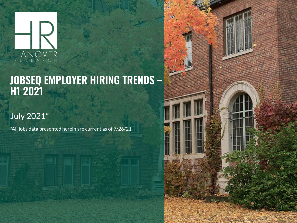

# JOBSEQ EMPLOYER HIRING TRENDS -<br>H1 2021

## July 2021\*

\*All jobs data presented herein are current as of 7/26/21.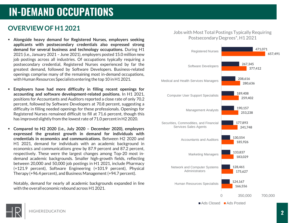# **IN-DEMAND OCCUPATIONS**

### **OVERVIEW OF H1 2021**

- **Alongside heavy demand for Registered Nurses, employers seeking applicants with postsecondary credentials also expressed strong demand for several business and technology occupations.** During H1 2021 (i.e., January 2021 – June 2021), employers posted 15.0 million new job postings across all industries. Of occupations typically requiring a postsecondary credential, Registered Nurses experienced by far the greatest demand, followed by Software Developers. Business-related openings comprise many of the remaining most in-demand occupations, with Human Resources Specialists entering the top 10 in H1 2021.
- **Employers have had more difficulty in filling recent openings for accounting and software development-related positions.** In H1 2021, positions for Accountants and Auditors reported a close rate of only 70.2 percent, followed by Software Developers at 70.8 percent, suggesting a difficulty in filling needed openings for these professionals. Openings for Registered Nurses remained difficult to fill at 71.6 percent, though this has improved slightly from the lowest rate of 71.0 percent in H2 2020.
- **Compared to H2 2020 (i.e., July 2020 – December 2020), employers expressed the greatest growth in demand for individuals with credentials in economics and communications.** Between H2 2020 and H1 2021, demand for individuals with an academic background in economics and communications grew by 87.9 percent and 87.2 percent, respectively. These were the largest changes among Top-20 most indemand academic backgrounds. Smaller high-growth fields, reflecting between 20,000 and 50,000 job postings in H1 2021, include Pharmacy (+121.9 percent), Software Engineering (+101.9 percent), Physical Therapy (+96.4 percent), and Business Management (+94.7 percent).

Notably, demand for nearly all academic backgrounds expanded in line with the overall economic rebound across H1 2021.

#### Jobs with Most Total Postings Typically Requiring Postsecondary Degrees\*, H1 2021



Ads Closed Ads Posted

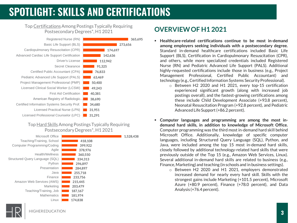# **SPOTLIGHT: SKILLS AND CERTIFICATIONS**

#### Top CertificationsAmong Postings Typically Requiring Postsecondary Degrees\*, H1 2021



#### Top Hard SkillsAmong Postings Typically Requiring Postsecondary Degrees\*, H1 2021



## **OVERVIEW OF H1 2021**

- **Healthcare-related certifications continue to be most in-demand among employers seeking individuals with a postsecondary degree.** Standard in-demand healthcare certifications included Basic Life Support (BLS), Certification in Cardiopulmonary Resuscitation (CPR), and others, while more specialized credentials included Registered Nurse (RN) and Pediatric Advanced Life Support (PALS). Additional highly-requested certifications include those in business (e.g., Project Management Professional, Certified Public Accountant) and technology (e.g., Certified Information Systems Security Professional).
	- o Between H2 2020 and H1 2021, every top-15 certification experienced significant growth (along with increased job postings overall), and the fastest-growing certifications among these include Child Development Associate (+93.8 percent), Neonatal Resuscitation Program (+92.8 percent), and Pediatric Advanced Life Support(+86.2 percent).
- **Computer languages and programming are among the most indemand hard skills, in addition to knowledge of Microsoft Office.** Computer programming was the third most in-demand hard skill behind Microsoft Office. Additionally, knowledge of specific computer languages, including Structured Query Language (SQL), Python, and Java, were included among the top 15 most in-demand hard skills, closely followed by additional technology-related hard skills that were previously outside of the Top 15 (e.g., Amazon Web Services, Linux). Several additional in-demand hard skills are related to business (e.g., Finance,Marketing) and teaching (in schoolsand in business settings).
	- o Between H2 2020 and H1 2021, employers demonstrated increased demand for nearly every hard skill. Skills with the strongest gains include Marketing (+101.5 percent), Microsoft Azure (+80.9 percent), Finance (+78.0 percent), and Data Analysis (+76.4 percent).

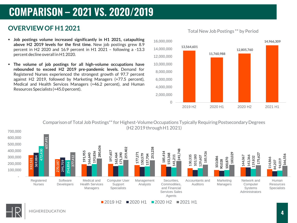# **COMPARISON - 2021 VS. 2020/2019**

## **OVERVIEW OF H1 2021**

- **Job postings volume increased significantly in H1 2021, catapulting above H2 2019 levels for the first time.** New job postings grew 8.9 percent in H2 2020 and 16.9 percent in H1 2021 – following a -13.3 percent decline overall in H1 2020.
- **The volume of job postings for all high-volume occupations have rebounded to exceed H2 2019 pre-pandemic levels.** Demand for Registered Nurses experienced the strongest growth of 97.7 percent against H2 2019, followed by Marketing Managers (+77.5 percent), Medical and Health Services Managers (+46.2 percent), and Human Resources Specialists (+45.0 percent).



Total New Job Postings \*\* by Period



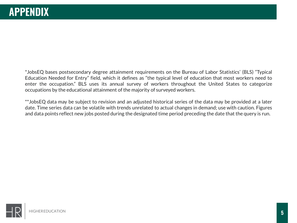\*JobsEQ bases postsecondary degree attainment requirements on the Bureau of Labor Statistics' (BLS) "Typical Education Needed for Entry" field, which it defines as "the typical level of education that most workers need to enter the occupation." BLS uses its annual survey of workers throughout the United States to categorize occupations by the educational attainment of the majority of surveyed workers.

\*\*JobsEQ data may be subject to revision and an adjusted historical series of the data may be provided at a later date. Time series data can be volatile with trends unrelated to actual changes in demand; use with caution. Figures and data points reflect new jobs posted during the designated time period preceding the date that the query is run.